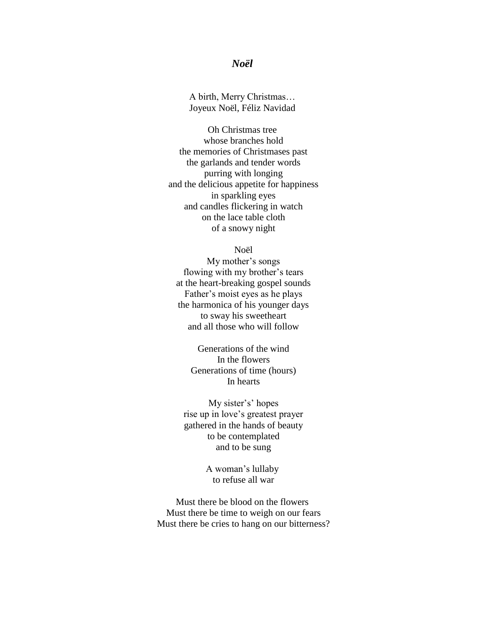## *Noël*

A birth, Merry Christmas… Joyeux Noël, Féliz Navidad

Oh Christmas tree whose branches hold the memories of Christmases past the garlands and tender words purring with longing and the delicious appetite for happiness in sparkling eyes and candles flickering in watch on the lace table cloth of a snowy night

## Noël

My mother's songs flowing with my brother's tears at the heart-breaking gospel sounds Father's moist eyes as he plays the harmonica of his younger days to sway his sweetheart and all those who will follow

> Generations of the wind In the flowers Generations of time (hours) In hearts

My sister's' hopes rise up in love's greatest prayer gathered in the hands of beauty to be contemplated and to be sung

> A woman's lullaby to refuse all war

Must there be blood on the flowers Must there be time to weigh on our fears Must there be cries to hang on our bitterness?